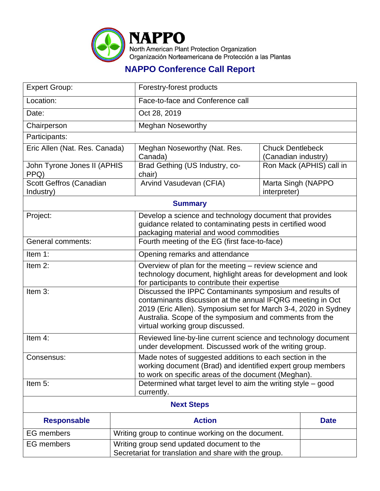

## **NAPPO Conference Call Report**

| <b>Expert Group:</b>                 |                                                                                                     | Forestry-forest products                                                                                                                                                                                                                                                                |                                                |                          |  |
|--------------------------------------|-----------------------------------------------------------------------------------------------------|-----------------------------------------------------------------------------------------------------------------------------------------------------------------------------------------------------------------------------------------------------------------------------------------|------------------------------------------------|--------------------------|--|
| Location:                            |                                                                                                     | Face-to-face and Conference call                                                                                                                                                                                                                                                        |                                                |                          |  |
| Date:                                |                                                                                                     | Oct 28, 2019                                                                                                                                                                                                                                                                            |                                                |                          |  |
| Chairperson                          |                                                                                                     | <b>Meghan Noseworthy</b>                                                                                                                                                                                                                                                                |                                                |                          |  |
| Participants:                        |                                                                                                     |                                                                                                                                                                                                                                                                                         |                                                |                          |  |
| Eric Allen (Nat. Res. Canada)        |                                                                                                     | Meghan Noseworthy (Nat. Res.<br>Canada)                                                                                                                                                                                                                                                 | <b>Chuck Dentlebeck</b><br>(Canadian industry) |                          |  |
| John Tyrone Jones II (APHIS<br>PPQ)  |                                                                                                     | Brad Gething (US Industry, co-<br>chair)                                                                                                                                                                                                                                                |                                                | Ron Mack (APHIS) call in |  |
| Scott Geffros (Canadian<br>Industry) |                                                                                                     | Arvind Vasudevan (CFIA)                                                                                                                                                                                                                                                                 | Marta Singh (NAPPO<br>interpreter)             |                          |  |
| <b>Summary</b>                       |                                                                                                     |                                                                                                                                                                                                                                                                                         |                                                |                          |  |
| Project:                             |                                                                                                     | Develop a science and technology document that provides<br>guidance related to contaminating pests in certified wood<br>packaging material and wood commodities                                                                                                                         |                                                |                          |  |
| <b>General comments:</b>             |                                                                                                     | Fourth meeting of the EG (first face-to-face)                                                                                                                                                                                                                                           |                                                |                          |  |
| Item 1:                              |                                                                                                     | Opening remarks and attendance                                                                                                                                                                                                                                                          |                                                |                          |  |
| Item 2:                              |                                                                                                     | Overview of plan for the meeting – review science and<br>technology document, highlight areas for development and look<br>for participants to contribute their expertise                                                                                                                |                                                |                          |  |
| Item 3:                              |                                                                                                     | Discussed the IPPC Contaminants symposium and results of<br>contaminants discussion at the annual IFQRG meeting in Oct<br>2019 (Eric Allen). Symposium set for March 3-4, 2020 in Sydney<br>Australia. Scope of the symposium and comments from the<br>virtual working group discussed. |                                                |                          |  |
| Item 4:                              |                                                                                                     | Reviewed line-by-line current science and technology document<br>under development. Discussed work of the writing group.                                                                                                                                                                |                                                |                          |  |
| Consensus:                           |                                                                                                     | Made notes of suggested additions to each section in the<br>working document (Brad) and identified expert group members<br>to work on specific areas of the document (Meghan).                                                                                                          |                                                |                          |  |
| Item 5:                              |                                                                                                     | Determined what target level to aim the writing style - good<br>currently.                                                                                                                                                                                                              |                                                |                          |  |
| <b>Next Steps</b>                    |                                                                                                     |                                                                                                                                                                                                                                                                                         |                                                |                          |  |
| <b>Responsable</b>                   | <b>Action</b>                                                                                       |                                                                                                                                                                                                                                                                                         | <b>Date</b>                                    |                          |  |
| <b>EG</b> members                    | Writing group to continue working on the document.                                                  |                                                                                                                                                                                                                                                                                         |                                                |                          |  |
| <b>EG</b> members                    | Writing group send updated document to the<br>Secretariat for translation and share with the group. |                                                                                                                                                                                                                                                                                         |                                                |                          |  |